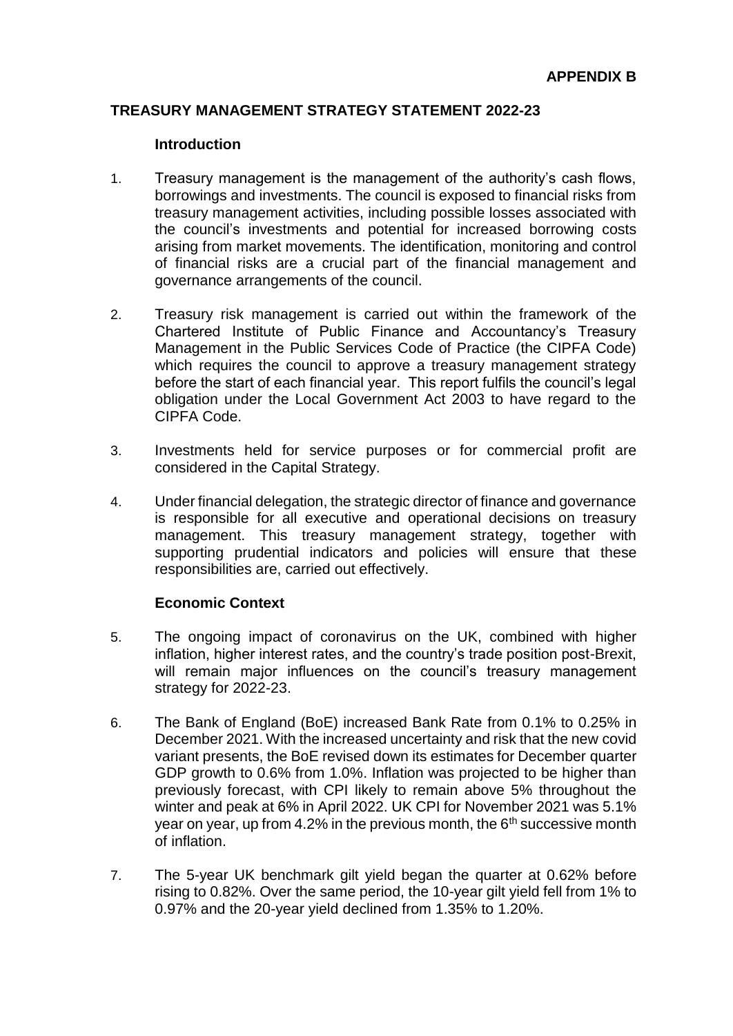## **TREASURY MANAGEMENT STRATEGY STATEMENT 2022-23**

#### **Introduction**

- 1. Treasury management is the management of the authority's cash flows, borrowings and investments. The council is exposed to financial risks from treasury management activities, including possible losses associated with the council's investments and potential for increased borrowing costs arising from market movements. The identification, monitoring and control of financial risks are a crucial part of the financial management and governance arrangements of the council.
- 2. Treasury risk management is carried out within the framework of the Chartered Institute of Public Finance and Accountancy's Treasury Management in the Public Services Code of Practice (the CIPFA Code) which requires the council to approve a treasury management strategy before the start of each financial year. This report fulfils the council's legal obligation under the Local Government Act 2003 to have regard to the CIPFA Code.
- 3. Investments held for service purposes or for commercial profit are considered in the Capital Strategy.
- 4. Under financial delegation, the strategic director of finance and governance is responsible for all executive and operational decisions on treasury management. This treasury management strategy, together with supporting prudential indicators and policies will ensure that these responsibilities are, carried out effectively.

## **Economic Context**

- 5. The ongoing impact of coronavirus on the UK, combined with higher inflation, higher interest rates, and the country's trade position post-Brexit, will remain major influences on the council's treasury management strategy for 2022-23.
- 6. The Bank of England (BoE) increased Bank Rate from 0.1% to 0.25% in December 2021. With the increased uncertainty and risk that the new covid variant presents, the BoE revised down its estimates for December quarter GDP growth to 0.6% from 1.0%. Inflation was projected to be higher than previously forecast, with CPI likely to remain above 5% throughout the winter and peak at 6% in April 2022. UK CPI for November 2021 was 5.1% year on year, up from 4.2% in the previous month, the  $6<sup>th</sup>$  successive month of inflation.
- 7. The 5-year UK benchmark gilt yield began the quarter at 0.62% before rising to 0.82%. Over the same period, the 10-year gilt yield fell from 1% to 0.97% and the 20-year yield declined from 1.35% to 1.20%.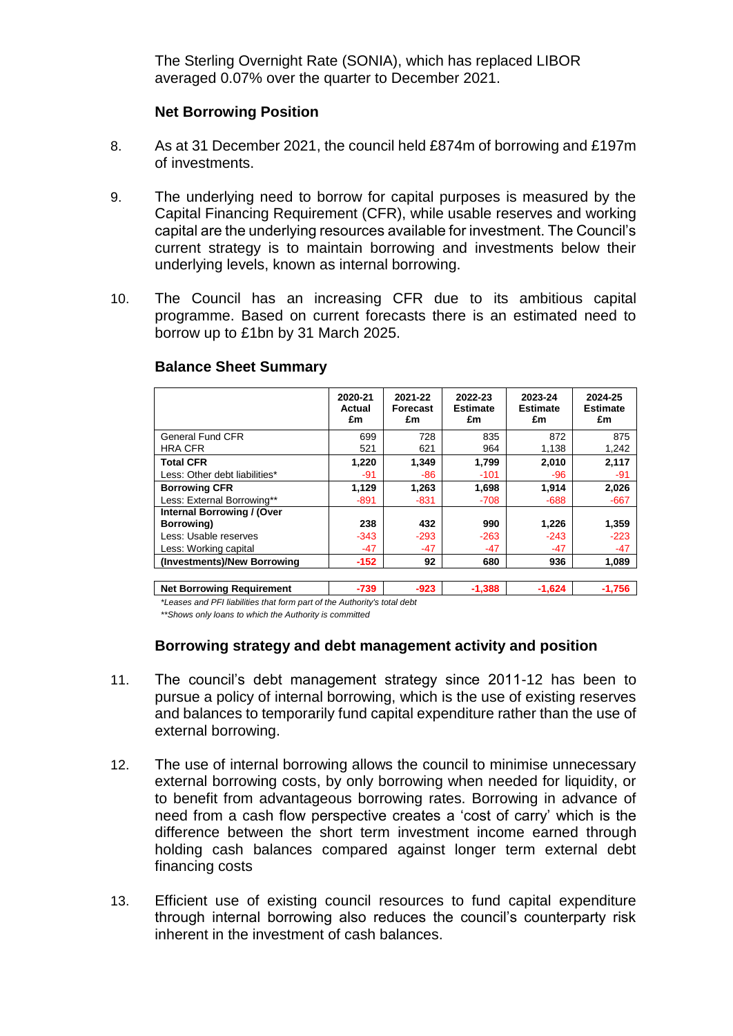The Sterling Overnight Rate (SONIA), which has replaced LIBOR averaged 0.07% over the quarter to December 2021.

## **Net Borrowing Position**

- 8. As at 31 December 2021, the council held £874m of borrowing and £197m of investments.
- 9. The underlying need to borrow for capital purposes is measured by the Capital Financing Requirement (CFR), while usable reserves and working capital are the underlying resources available for investment. The Council's current strategy is to maintain borrowing and investments below their underlying levels, known as internal borrowing.
- 10. The Council has an increasing CFR due to its ambitious capital programme. Based on current forecasts there is an estimated need to borrow up to £1bn by 31 March 2025.

|                                          | 2020-21<br><b>Actual</b><br>£m | 2021-22<br><b>Forecast</b><br>£m | 2022-23<br><b>Estimate</b><br>£m | 2023-24<br><b>Estimate</b><br>£m | 2024-25<br><b>Estimate</b><br>£m |
|------------------------------------------|--------------------------------|----------------------------------|----------------------------------|----------------------------------|----------------------------------|
| General Fund CFR                         | 699                            | 728                              | 835                              | 872                              | 875                              |
| <b>HRA CFR</b>                           | 521                            | 621                              | 964                              | 1,138                            | 1,242                            |
| <b>Total CFR</b>                         | 1,220                          | 1,349                            | 1,799                            | 2,010                            | 2,117                            |
| Less: Other debt liabilities*            | $-91$                          | -86                              | $-101$                           | $-96$                            | $-91$                            |
| <b>Borrowing CFR</b>                     | 1,129                          | 1,263                            | 1,698                            | 1,914                            | 2,026                            |
| Less: External Borrowing**               | $-891$                         | $-831$                           | $-708$                           | $-688$                           | $-667$                           |
| Internal Borrowing / (Over<br>Borrowing) | 238                            | 432                              | 990                              | 1,226                            | 1,359                            |
| Less: Usable reserves                    | $-343$                         | $-293$                           | $-263$                           | $-243$                           | $-223$                           |
| Less: Working capital                    | $-47$                          | $-47$                            | -47                              | $-47$                            | $-47$                            |
| (Investments)/New Borrowing              | $-152$                         | 92                               | 680                              | 936                              | 1,089                            |
| <b>Net Borrowing Requirement</b>         | $-739$                         | $-923$                           | $-1,388$                         | $-1,624$                         | $-1,756$                         |

#### **Balance Sheet Summary**

*\*Leases and PFI liabilities that form part of the Authority's total debt*

*\*\*Shows only loans to which the Authority is committed*

## **Borrowing strategy and debt management activity and position**

- 11. The council's debt management strategy since 2011-12 has been to pursue a policy of internal borrowing, which is the use of existing reserves and balances to temporarily fund capital expenditure rather than the use of external borrowing.
- 12. The use of internal borrowing allows the council to minimise unnecessary external borrowing costs, by only borrowing when needed for liquidity, or to benefit from advantageous borrowing rates. Borrowing in advance of need from a cash flow perspective creates a 'cost of carry' which is the difference between the short term investment income earned through holding cash balances compared against longer term external debt financing costs
- 13. Efficient use of existing council resources to fund capital expenditure through internal borrowing also reduces the council's counterparty risk inherent in the investment of cash balances.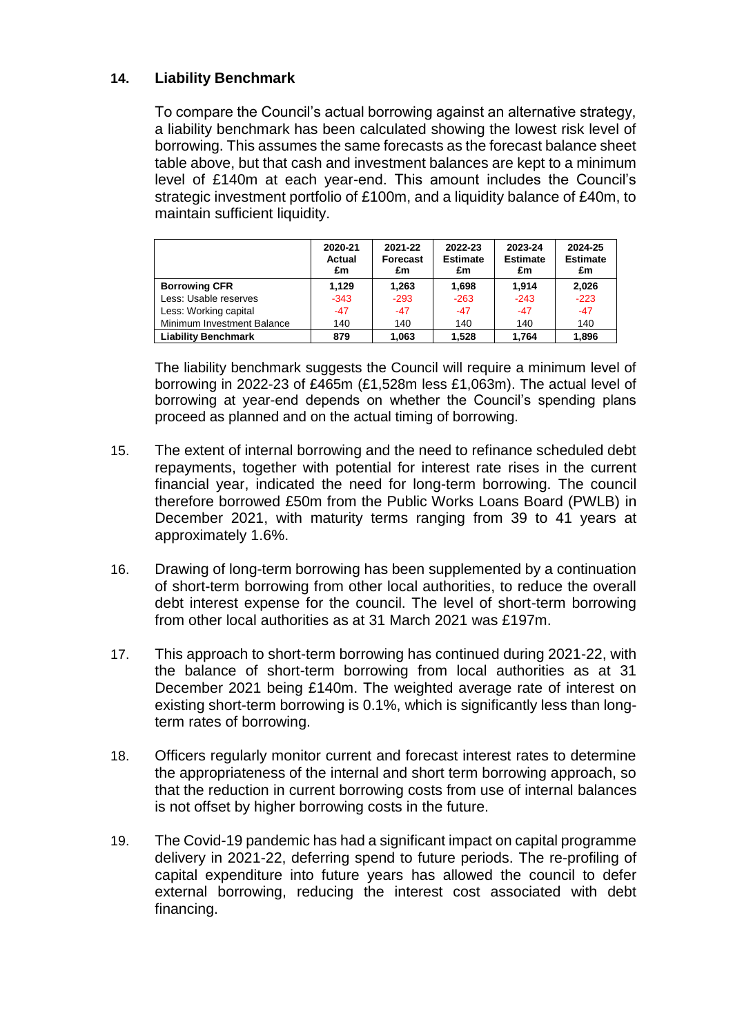# **14. Liability Benchmark**

To compare the Council's actual borrowing against an alternative strategy, a liability benchmark has been calculated showing the lowest risk level of borrowing. This assumes the same forecasts as the forecast balance sheet table above, but that cash and investment balances are kept to a minimum level of £140m at each year-end. This amount includes the Council's strategic investment portfolio of £100m, and a liquidity balance of £40m, to maintain sufficient liquidity.

|                            | 2020-21<br><b>Actual</b><br>£m | 2021-22<br><b>Forecast</b><br>£m | 2022-23<br><b>Estimate</b><br>£m | 2023-24<br><b>Estimate</b><br>£m | 2024-25<br><b>Estimate</b><br>£m |
|----------------------------|--------------------------------|----------------------------------|----------------------------------|----------------------------------|----------------------------------|
| <b>Borrowing CFR</b>       | 1.129                          | 1.263                            | 1,698                            | 1.914                            | 2,026                            |
| Less: Usable reserves      | $-343$                         | $-293$                           | $-263$                           | $-243$                           | $-223$                           |
| Less: Working capital      | $-47$                          | $-47$                            | $-47$                            | $-47$                            | $-47$                            |
| Minimum Investment Balance | 140                            | 140                              | 140                              | 140                              | 140                              |
| <b>Liability Benchmark</b> | 879                            | 1.063                            | 1.528                            | 1.764                            | 1.896                            |

The liability benchmark suggests the Council will require a minimum level of borrowing in 2022-23 of £465m (£1,528m less £1,063m). The actual level of borrowing at year-end depends on whether the Council's spending plans proceed as planned and on the actual timing of borrowing.

- 15. The extent of internal borrowing and the need to refinance scheduled debt repayments, together with potential for interest rate rises in the current financial year, indicated the need for long-term borrowing. The council therefore borrowed £50m from the Public Works Loans Board (PWLB) in December 2021, with maturity terms ranging from 39 to 41 years at approximately 1.6%.
- 16. Drawing of long-term borrowing has been supplemented by a continuation of short-term borrowing from other local authorities, to reduce the overall debt interest expense for the council. The level of short-term borrowing from other local authorities as at 31 March 2021 was £197m.
- 17. This approach to short-term borrowing has continued during 2021-22, with the balance of short-term borrowing from local authorities as at 31 December 2021 being £140m. The weighted average rate of interest on existing short-term borrowing is 0.1%, which is significantly less than longterm rates of borrowing.
- 18. Officers regularly monitor current and forecast interest rates to determine the appropriateness of the internal and short term borrowing approach, so that the reduction in current borrowing costs from use of internal balances is not offset by higher borrowing costs in the future.
- 19. The Covid-19 pandemic has had a significant impact on capital programme delivery in 2021-22, deferring spend to future periods. The re-profiling of capital expenditure into future years has allowed the council to defer external borrowing, reducing the interest cost associated with debt financing.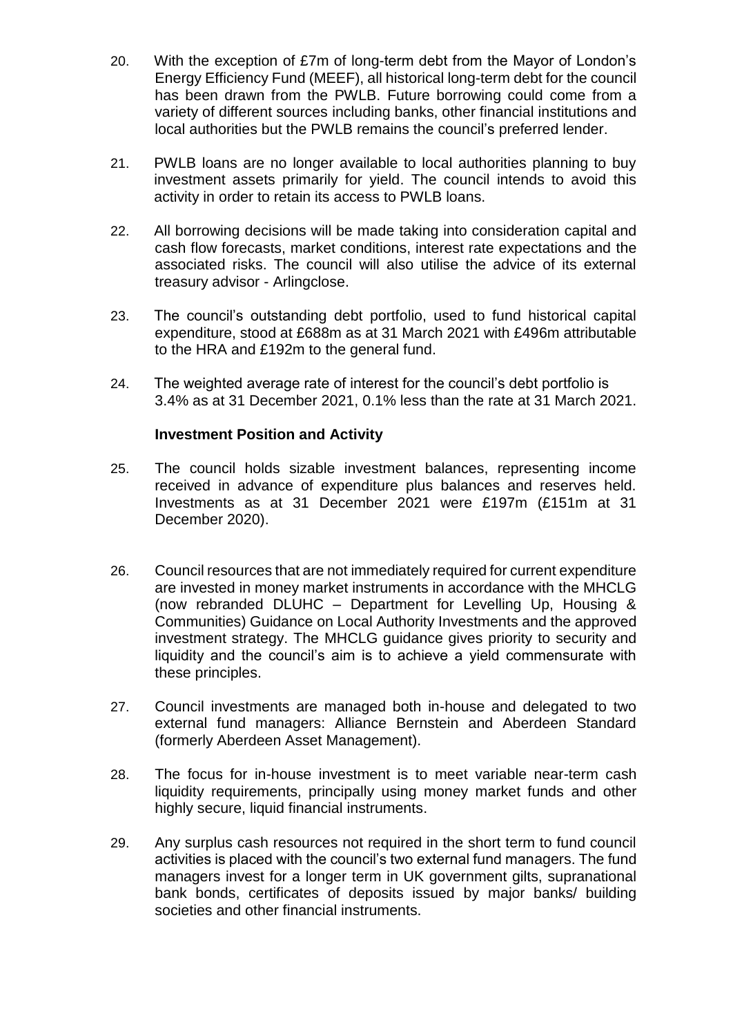- 20. With the exception of £7m of long-term debt from the Mayor of London's Energy Efficiency Fund (MEEF), all historical long-term debt for the council has been drawn from the PWLB. Future borrowing could come from a variety of different sources including banks, other financial institutions and local authorities but the PWLB remains the council's preferred lender.
- 21. PWLB loans are no longer available to local authorities planning to buy investment assets primarily for yield. The council intends to avoid this activity in order to retain its access to PWLB loans.
- 22. All borrowing decisions will be made taking into consideration capital and cash flow forecasts, market conditions, interest rate expectations and the associated risks. The council will also utilise the advice of its external treasury advisor - Arlingclose.
- 23. The council's outstanding debt portfolio, used to fund historical capital expenditure, stood at £688m as at 31 March 2021 with £496m attributable to the HRA and £192m to the general fund.
- 24. The weighted average rate of interest for the council's debt portfolio is 3.4% as at 31 December 2021, 0.1% less than the rate at 31 March 2021.

## **Investment Position and Activity**

- 25. The council holds sizable investment balances, representing income received in advance of expenditure plus balances and reserves held. Investments as at 31 December 2021 were £197m (£151m at 31 December 2020).
- 26. Council resources that are not immediately required for current expenditure are invested in money market instruments in accordance with the MHCLG (now rebranded DLUHC – Department for Levelling Up, Housing & Communities) Guidance on Local Authority Investments and the approved investment strategy. The MHCLG guidance gives priority to security and liquidity and the council's aim is to achieve a yield commensurate with these principles.
- 27. Council investments are managed both in-house and delegated to two external fund managers: Alliance Bernstein and Aberdeen Standard (formerly Aberdeen Asset Management).
- 28. The focus for in-house investment is to meet variable near-term cash liquidity requirements, principally using money market funds and other highly secure, liquid financial instruments.
- 29. Any surplus cash resources not required in the short term to fund council activities is placed with the council's two external fund managers. The fund managers invest for a longer term in UK government gilts, supranational bank bonds, certificates of deposits issued by major banks/ building societies and other financial instruments.